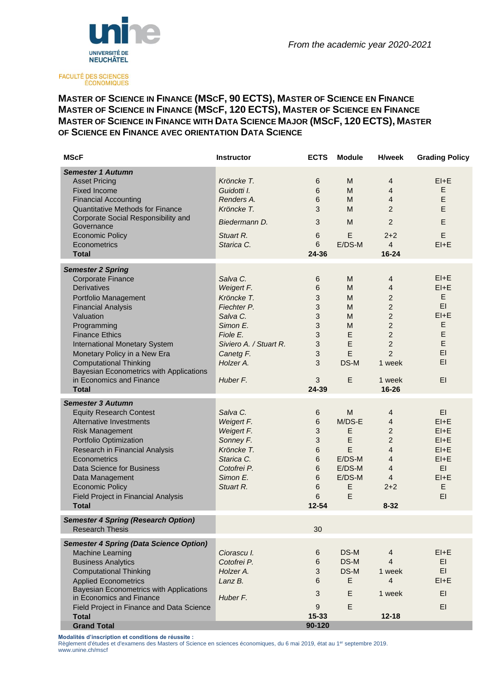

FACULTÉ DES SCIENCES<br>ÉCONOMIQUES

# **MASTER OF SCIENCE IN FINANCE (MSCF, 90 ECTS), MASTER OF SCIENCE EN FINANCE MASTER OF SCIENCE IN FINANCE (MSCF, 120 ECTS), MASTER OF SCIENCE EN FINANCE MASTER OF SCIENCE IN FINANCE WITH DATA SCIENCE MAJOR (MSCF, 120 ECTS), MASTER OF SCIENCE EN FINANCE AVEC ORIENTATION DATA SCIENCE**

| <b>MScF</b>                                                                                                                                                                                                                                                                                                                                     | <b>Instructor</b>                                                                                                                           | <b>ECTS</b>                                             | <b>Module</b>                                                        | <b>H/week</b>                                                                                                                                               | <b>Grading Policy</b>                                                                       |
|-------------------------------------------------------------------------------------------------------------------------------------------------------------------------------------------------------------------------------------------------------------------------------------------------------------------------------------------------|---------------------------------------------------------------------------------------------------------------------------------------------|---------------------------------------------------------|----------------------------------------------------------------------|-------------------------------------------------------------------------------------------------------------------------------------------------------------|---------------------------------------------------------------------------------------------|
| <b>Semester 1 Autumn</b><br><b>Asset Pricing</b><br><b>Fixed Income</b><br><b>Financial Accounting</b><br><b>Quantitative Methods for Finance</b><br>Corporate Social Responsibility and<br>Governance<br><b>Economic Policy</b><br>Econometrics<br><b>Total</b>                                                                                | Kröncke T.<br>Guidotti I.<br>Renders A.<br>Kröncke T.<br>Biedermann D.<br>Stuart R.<br>Starica C.                                           | 6<br>6<br>6<br>3<br>3<br>6<br>6<br>24-36                | M<br>M<br>M<br>M<br>M<br>E<br>E/DS-M                                 | 4<br>4<br>4<br>$\overline{2}$<br>$\overline{2}$<br>$2 + 2$<br>$\overline{4}$<br>16-24                                                                       | $EI + E$<br>E<br>E<br>E<br>E<br>E<br>$EI + E$                                               |
|                                                                                                                                                                                                                                                                                                                                                 |                                                                                                                                             |                                                         |                                                                      |                                                                                                                                                             |                                                                                             |
| <b>Semester 2 Spring</b><br><b>Corporate Finance</b><br><b>Derivatives</b><br>Portfolio Management<br><b>Financial Analysis</b><br>Valuation<br>Programming<br><b>Finance Ethics</b><br><b>International Monetary System</b><br>Monetary Policy in a New Era<br><b>Computational Thinking</b><br><b>Bayesian Econometrics with Applications</b> | Salva C.<br>Weigert F.<br>Kröncke T.<br>Fiechter P.<br>Salva C.<br>Simon E.<br>Fiole E.<br>Siviero A. / Stuart R.<br>Canetg F.<br>Holzer A. | 6<br>6<br>3<br>3<br>3<br>3<br>3<br>3<br>3<br>3          | M<br>M<br>M<br>M<br>M<br>M<br>E<br>E<br>E<br>DS-M                    | 4<br>$\overline{4}$<br>$\overline{2}$<br>$\overline{c}$<br>$\overline{2}$<br>$\overline{2}$<br>$\overline{a}$<br>$\overline{c}$<br>$\overline{2}$<br>1 week | $EI + E$<br>$EI + E$<br>E<br>EI<br>$EI + E$<br>E<br>Е<br>E<br>EI<br>EI.                     |
| in Economics and Finance<br><b>Total</b>                                                                                                                                                                                                                                                                                                        | Huber F.                                                                                                                                    | 3<br>$24 - 39$                                          | E                                                                    | 1 week<br>16-26                                                                                                                                             | EI                                                                                          |
| <b>Semester 3 Autumn</b><br><b>Equity Research Contest</b><br><b>Alternative Investments</b><br><b>Risk Management</b><br>Portfolio Optimization<br>Research in Financial Analysis<br>Econometrics<br>Data Science for Business<br>Data Management<br><b>Economic Policy</b><br>Field Project in Financial Analysis<br><b>Total</b>             | Salva C.<br>Weigert F.<br>Weigert F.<br>Sonney F.<br>Kröncke T.<br>Starica C.<br>Cotofrei P.<br>Simon E.<br>Stuart R.                       | 6<br>6<br>3<br>3<br>6<br>6<br>6<br>6<br>6<br>6<br>12-54 | M<br>M/DS-E<br>E<br>E<br>E<br>$E/DS-M$<br>E/DS-M<br>E/DS-M<br>E<br>E | $\overline{4}$<br>4<br>$\overline{c}$<br>$\overline{c}$<br>$\overline{4}$<br>$\overline{4}$<br>4<br>4<br>$2 + 2$<br>$8 - 32$                                | EI.<br>$EI + E$<br>$EI + E$<br>$EI + E$<br>$EI + E$<br>$EI + E$<br>EI.<br>$E1+E$<br>E<br>EI |
| <b>Semester 4 Spring (Research Option)</b><br><b>Research Thesis</b>                                                                                                                                                                                                                                                                            |                                                                                                                                             | 30                                                      |                                                                      |                                                                                                                                                             |                                                                                             |
| <b>Semester 4 Spring (Data Science Option)</b><br>Machine Learning<br><b>Business Analytics</b><br><b>Computational Thinking</b><br><b>Applied Econometrics</b><br><b>Bayesian Econometrics with Applications</b><br>in Economics and Finance<br>Field Project in Finance and Data Science<br><b>Total</b><br><b>Grand Total</b>                | Ciorascu I.<br>Cotofrei P.<br>Holzer A.<br>Lanz B.<br>Huber F.                                                                              | 6<br>6<br>3<br>6<br>3<br>9<br>$15 - 33$<br>90-120       | DS-M<br>DS-M<br>DS-M<br>E<br>E<br>E                                  | 4<br>$\overline{4}$<br>1 week<br>$\overline{4}$<br>1 week<br>$12 - 18$                                                                                      | $EI + E$<br>EI.<br>EI.<br>$EI + E$<br>EI<br>EI.                                             |

**Modalités d'inscription et conditions de réussite :** 

[Règlement d'études et d'examens des Masters of Science en sciences économiques, du 6](http://rsn.ne.ch/ajour/dati/f/s/4163314.htm) mai 2019, état au 1<sup>er</sup> septembre 2019. www.unine.ch/mscf